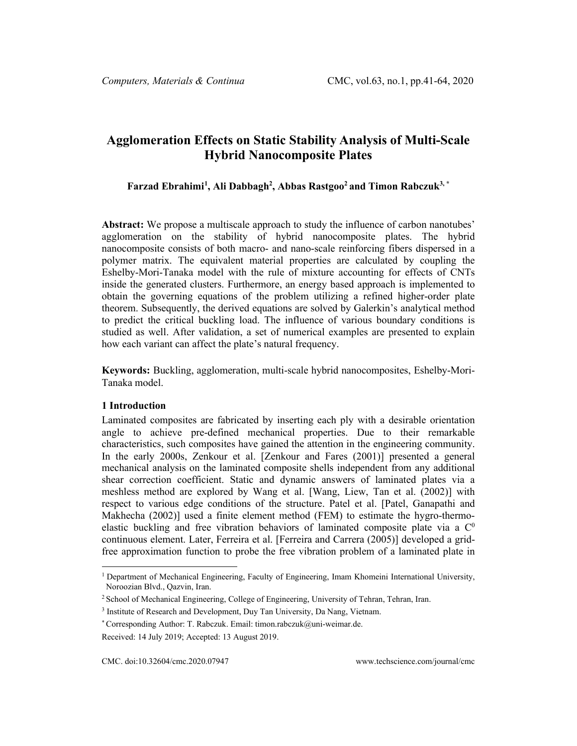# **Agglomeration Effects on Static Stability Analysis of Multi-Scale Hybrid Nanocomposite Plates**

### **Farzad Ebrahimi[1](#page-0-0) , Ali Dabbagh2 , Abbas Rastgoo2 and Timon Rabczuk3, \***

**Abstract:** We propose a multiscale approach to study the influence of carbon nanotubes' agglomeration on the stability of hybrid nanocomposite plates. The hybrid nanocomposite consists of both macro- and nano-scale reinforcing fibers dispersed in a polymer matrix. The equivalent material properties are calculated by coupling the Eshelby-Mori-Tanaka model with the rule of mixture accounting for effects of CNTs inside the generated clusters. Furthermore, an energy based approach is implemented to obtain the governing equations of the problem utilizing a refined higher-order plate theorem. Subsequently, the derived equations are solved by Galerkin's analytical method to predict the critical buckling load. The influence of various boundary conditions is studied as well. After validation, a set of numerical examples are presented to explain how each variant can affect the plate's natural frequency.

**Keywords:** Buckling, agglomeration, multi-scale hybrid nanocomposites, Eshelby-Mori-Tanaka model.

#### **1 Introduction**

Laminated composites are fabricated by inserting each ply with a desirable orientation angle to achieve pre-defined mechanical properties. Due to their remarkable characteristics, such composites have gained the attention in the engineering community. In the early 2000s, Zenkour et al. [Zenkour and Fares (2001)] presented a general mechanical analysis on the laminated composite shells independent from any additional shear correction coefficient. Static and dynamic answers of laminated plates via a meshless method are explored by Wang et al. [Wang, Liew, Tan et al. (2002)] with respect to various edge conditions of the structure. Patel et al. [Patel, Ganapathi and Makhecha (2002)] used a finite element method (FEM) to estimate the hygro-thermoelastic buckling and free vibration behaviors of laminated composite plate via a  $\mathbb{C}^0$ continuous element. Later, Ferreira et al. [Ferreira and Carrera (2005)] developed a gridfree approximation function to probe the free vibration problem of a laminated plate in

<span id="page-0-0"></span><sup>1</sup> Department of Mechanical Engineering, Faculty of Engineering, Imam Khomeini International University, Noroozian Blvd., Qazvin, Iran.

<sup>2</sup> School of Mechanical Engineering, College of Engineering, University of Tehran, Tehran, Iran.

<sup>&</sup>lt;sup>3</sup> Institute of Research and Development, Duy Tan University, Da Nang, Vietnam.

<sup>\*</sup> Corresponding Author: T. Rabczuk. Email: timon.rabczuk@uni-weimar.de.

Received: 14 July 2019; Accepted: 13 August 2019.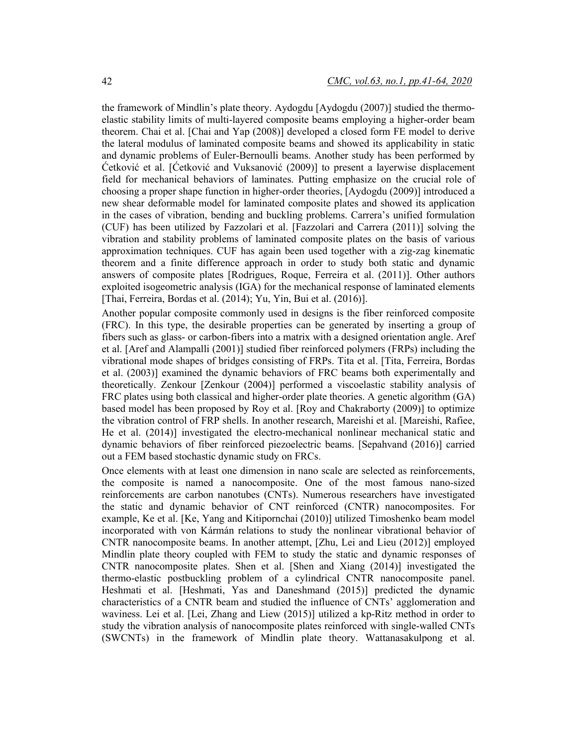the framework of Mindlin's plate theory. Aydogdu [Aydogdu (2007)] studied the thermoelastic stability limits of multi-layered composite beams employing a higher-order beam theorem. Chai et al. [Chai and Yap (2008)] developed a closed form FE model to derive the lateral modulus of laminated composite beams and showed its applicability in static and dynamic problems of Euler-Bernoulli beams. Another study has been performed by Ćetković et al. [Ćetković and Vuksanović (2009)] to present a layerwise displacement field for mechanical behaviors of laminates. Putting emphasize on the crucial role of choosing a proper shape function in higher-order theories, [Aydogdu (2009)] introduced a new shear deformable model for laminated composite plates and showed its application in the cases of vibration, bending and buckling problems. Carrera's unified formulation (CUF) has been utilized by Fazzolari et al. [Fazzolari and Carrera (2011)] solving the vibration and stability problems of laminated composite plates on the basis of various approximation techniques. CUF has again been used together with a zig-zag kinematic theorem and a finite difference approach in order to study both static and dynamic answers of composite plates [Rodrigues, Roque, Ferreira et al. (2011)]. Other authors exploited isogeometric analysis (IGA) for the mechanical response of laminated elements [Thai, Ferreira, Bordas et al. (2014); Yu, Yin, Bui et al. (2016)].

Another popular composite commonly used in designs is the fiber reinforced composite (FRC). In this type, the desirable properties can be generated by inserting a group of fibers such as glass- or carbon-fibers into a matrix with a designed orientation angle. Aref et al. [Aref and Alampalli (2001)] studied fiber reinforced polymers (FRPs) including the vibrational mode shapes of bridges consisting of FRPs. Tita et al. [Tita, Ferreira, Bordas et al. (2003)] examined the dynamic behaviors of FRC beams both experimentally and theoretically. Zenkour [Zenkour (2004)] performed a viscoelastic stability analysis of FRC plates using both classical and higher-order plate theories. A genetic algorithm (GA) based model has been proposed by Roy et al. [Roy and Chakraborty (2009)] to optimize the vibration control of FRP shells. In another research, Mareishi et al. [Mareishi, Rafiee, He et al. (2014)] investigated the electro-mechanical nonlinear mechanical static and dynamic behaviors of fiber reinforced piezoelectric beams. [Sepahvand (2016)] carried out a FEM based stochastic dynamic study on FRCs.

Once elements with at least one dimension in nano scale are selected as reinforcements, the composite is named a nanocomposite. One of the most famous nano-sized reinforcements are carbon nanotubes (CNTs). Numerous researchers have investigated the static and dynamic behavior of CNT reinforced (CNTR) nanocomposites. For example, Ke et al. [Ke, Yang and Kitipornchai (2010)] utilized Timoshenko beam model incorporated with von Kármán relations to study the nonlinear vibrational behavior of CNTR nanocomposite beams. In another attempt, [Zhu, Lei and Lieu (2012)] employed Mindlin plate theory coupled with FEM to study the static and dynamic responses of CNTR nanocomposite plates. Shen et al. [Shen and Xiang (2014)] investigated the thermo-elastic postbuckling problem of a cylindrical CNTR nanocomposite panel. Heshmati et al. [Heshmati, Yas and Daneshmand (2015)] predicted the dynamic characteristics of a CNTR beam and studied the influence of CNTs' agglomeration and waviness. Lei et al. [Lei, Zhang and Liew (2015)] utilized a kp-Ritz method in order to study the vibration analysis of nanocomposite plates reinforced with single-walled CNTs (SWCNTs) in the framework of Mindlin plate theory. Wattanasakulpong et al.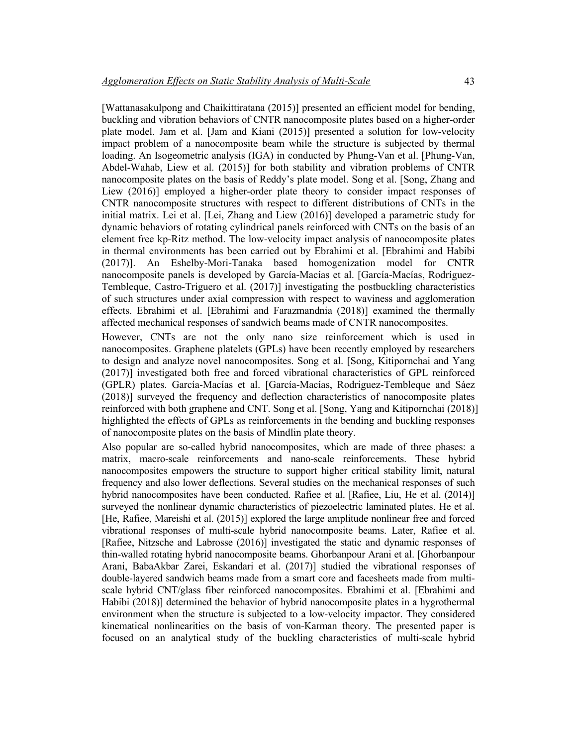[Wattanasakulpong and Chaikittiratana (2015)] presented an efficient model for bending, buckling and vibration behaviors of CNTR nanocomposite plates based on a higher-order plate model. Jam et al. [Jam and Kiani (2015)] presented a solution for low-velocity impact problem of a nanocomposite beam while the structure is subjected by thermal loading. An Isogeometric analysis (IGA) in conducted by Phung-Van et al. [Phung-Van, Abdel-Wahab, Liew et al. (2015)] for both stability and vibration problems of CNTR nanocomposite plates on the basis of Reddy's plate model. Song et al. [Song, Zhang and Liew (2016)] employed a higher-order plate theory to consider impact responses of CNTR nanocomposite structures with respect to different distributions of CNTs in the initial matrix. Lei et al. [Lei, Zhang and Liew (2016)] developed a parametric study for dynamic behaviors of rotating cylindrical panels reinforced with CNTs on the basis of an element free kp-Ritz method. The low-velocity impact analysis of nanocomposite plates in thermal environments has been carried out by Ebrahimi et al. [Ebrahimi and Habibi (2017)]. An Eshelby-Mori-Tanaka based homogenization model for CNTR nanocomposite panels is developed by García-Macías et al. [García-Macías, Rodríguez-Tembleque, Castro-Triguero et al. (2017)] investigating the postbuckling characteristics of such structures under axial compression with respect to waviness and agglomeration effects. Ebrahimi et al. [Ebrahimi and Farazmandnia (2018)] examined the thermally affected mechanical responses of sandwich beams made of CNTR nanocomposites.

However, CNTs are not the only nano size reinforcement which is used in nanocomposites. Graphene platelets (GPLs) have been recently employed by researchers to design and analyze novel nanocomposites. Song et al. [Song, Kitipornchai and Yang (2017)] investigated both free and forced vibrational characteristics of GPL reinforced (GPLR) plates. García-Macías et al. [García-Macías, Rodriguez-Tembleque and Sáez (2018)] surveyed the frequency and deflection characteristics of nanocomposite plates reinforced with both graphene and CNT. Song et al. [Song, Yang and Kitipornchai (2018)] highlighted the effects of GPLs as reinforcements in the bending and buckling responses of nanocomposite plates on the basis of Mindlin plate theory.

Also popular are so-called hybrid nanocomposites, which are made of three phases: a matrix, macro-scale reinforcements and nano-scale reinforcements. These hybrid nanocomposites empowers the structure to support higher critical stability limit, natural frequency and also lower deflections. Several studies on the mechanical responses of such hybrid nanocomposites have been conducted. Rafiee et al. [Rafiee, Liu, He et al. (2014)] surveyed the nonlinear dynamic characteristics of piezoelectric laminated plates. He et al. [He, Rafiee, Mareishi et al. (2015)] explored the large amplitude nonlinear free and forced vibrational responses of multi-scale hybrid nanocomposite beams. Later, Rafiee et al. [Rafiee, Nitzsche and Labrosse (2016)] investigated the static and dynamic responses of thin-walled rotating hybrid nanocomposite beams. Ghorbanpour Arani et al. [Ghorbanpour Arani, BabaAkbar Zarei, Eskandari et al. (2017)] studied the vibrational responses of double-layered sandwich beams made from a smart core and facesheets made from multiscale hybrid CNT/glass fiber reinforced nanocomposites. Ebrahimi et al. [Ebrahimi and Habibi (2018)] determined the behavior of hybrid nanocomposite plates in a hygrothermal environment when the structure is subjected to a low-velocity impactor. They considered kinematical nonlinearities on the basis of von-Karman theory. The presented paper is focused on an analytical study of the buckling characteristics of multi-scale hybrid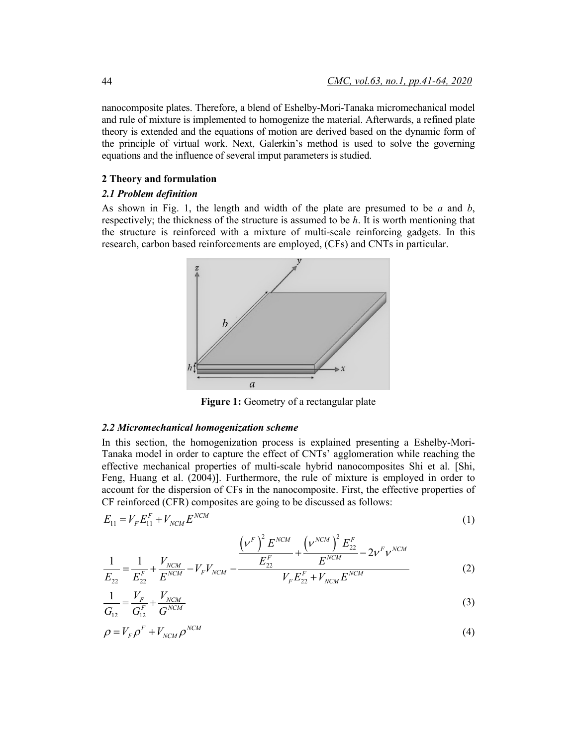nanocomposite plates. Therefore, a blend of Eshelby-Mori-Tanaka micromechanical model and rule of mixture is implemented to homogenize the material. Afterwards, a refined plate theory is extended and the equations of motion are derived based on the dynamic form of the principle of virtual work. Next, Galerkin's method is used to solve the governing equations and the influence of several imput parameters is studied.

### **2 Theory and formulation**

### *2.1 Problem definition*

As shown in Fig. 1, the length and width of the plate are presumed to be *a* and *b*, respectively; the thickness of the structure is assumed to be *h*. It is worth mentioning that the structure is reinforced with a mixture of multi-scale reinforcing gadgets. In this research, carbon based reinforcements are employed, (CFs) and CNTs in particular.



Figure 1: Geometry of a rectangular plate

#### *2.2 Micromechanical homogenization scheme*

In this section, the homogenization process is explained presenting a Eshelby-Mori-Tanaka model in order to capture the effect of CNTs' agglomeration while reaching the effective mechanical properties of multi-scale hybrid nanocomposites Shi et al. [Shi, Feng, Huang et al. (2004)]. Furthermore, the rule of mixture is employed in order to account for the dispersion of CFs in the nanocomposite. First, the effective properties of CF reinforced (CFR) composites are going to be discussed as follows:

$$
E_{11} = V_F E_{11}^F + V_{NCM} E^{NCM} \tag{1}
$$

$$
\frac{1}{E_{22}} = \frac{1}{E_{22}^F} + \frac{V_{NCM}}{E^{NCM}} - V_F V_{NCM} - \frac{\left(\nu^F\right)^2 E^{NCM}}{E_{22}^F} + \frac{\left(\nu^{NCM}\right)^2 E_{22}^F}{E^{NCM}} - 2\nu^F \nu^{NCM}
$$
\n(2)

$$
\frac{1}{G_{12}} = \frac{V_F}{G_{12}^F} + \frac{V_{NCM}}{G^{NCM}}
$$
(3)

$$
\rho = V_F \rho^F + V_{NCM} \rho^{NCM} \tag{4}
$$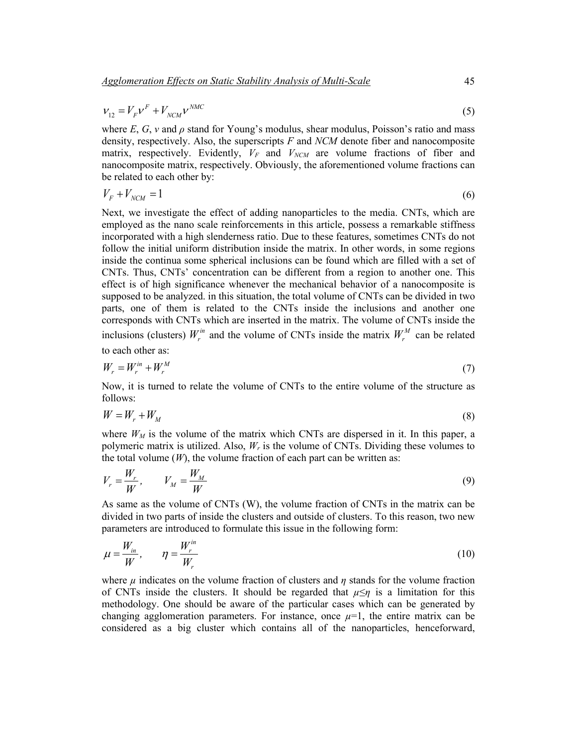$$
V_{12} = V_F V^F + V_{NCM} V^{MAC}
$$
\n
$$
\tag{5}
$$

where  $E$ ,  $G$ ,  $\nu$  and  $\rho$  stand for Young's modulus, shear modulus, Poisson's ratio and mass density, respectively. Also, the superscripts *F* and *NCM* denote fiber and nanocomposite matrix, respectively. Evidently,  $V_F$  and  $V_{NCM}$  are volume fractions of fiber and nanocomposite matrix, respectively. Obviously, the aforementioned volume fractions can be related to each other by:

$$
V_F + V_{NCM} = 1\tag{6}
$$

Next, we investigate the effect of adding nanoparticles to the media. CNTs, which are employed as the nano scale reinforcements in this article, possess a remarkable stiffness incorporated with a high slenderness ratio. Due to these features, sometimes CNTs do not follow the initial uniform distribution inside the matrix. In other words, in some regions inside the continua some spherical inclusions can be found which are filled with a set of CNTs. Thus, CNTs' concentration can be different from a region to another one. This effect is of high significance whenever the mechanical behavior of a nanocomposite is supposed to be analyzed. in this situation, the total volume of CNTs can be divided in two parts, one of them is related to the CNTs inside the inclusions and another one corresponds with CNTs which are inserted in the matrix. The volume of CNTs inside the inclusions (clusters)  $W_r^m$  and the volume of CNTs inside the matrix  $W_r^M$  can be related

to each other as:

$$
W_r = W_r^{in} + W_r^M \tag{7}
$$

Now, it is turned to relate the volume of CNTs to the entire volume of the structure as follows:

$$
W = W_r + W_M \tag{8}
$$

where  $W_M$  is the volume of the matrix which CNTs are dispersed in it. In this paper, a polymeric matrix is utilized. Also, *Wr* is the volume of CNTs. Dividing these volumes to the total volume  $(W)$ , the volume fraction of each part can be written as:

$$
V_r = \frac{W_r}{W}, \qquad V_M = \frac{W_M}{W} \tag{9}
$$

As same as the volume of CNTs (W), the volume fraction of CNTs in the matrix can be divided in two parts of inside the clusters and outside of clusters. To this reason, two new parameters are introduced to formulate this issue in the following form:

$$
\mu = \frac{W_{in}}{W}, \qquad \eta = \frac{W_r^{in}}{W_r} \tag{10}
$$

where  $\mu$  indicates on the volume fraction of clusters and  $\eta$  stands for the volume fraction of CNTs inside the clusters. It should be regarded that  $\mu \leq \eta$  is a limitation for this methodology. One should be aware of the particular cases which can be generated by changing agglomeration parameters. For instance, once  $\mu=1$ , the entire matrix can be considered as a big cluster which contains all of the nanoparticles, henceforward,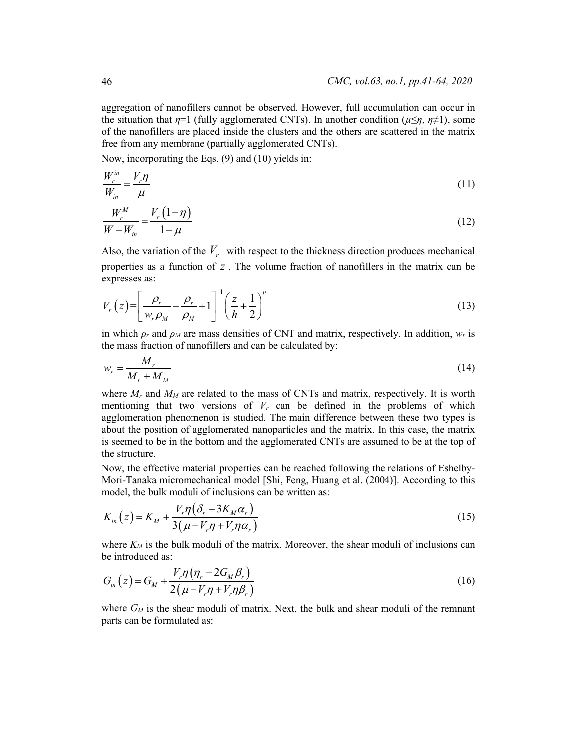aggregation of nanofillers cannot be observed. However, full accumulation can occur in the situation that  $\eta=1$  (fully agglomerated CNTs). In another condition ( $\mu \leq \eta$ ,  $\eta \neq 1$ ), some of the nanofillers are placed inside the clusters and the others are scattered in the matrix free from any membrane (partially agglomerated CNTs).

Now, incorporating the Eqs. (9) and (10) yields in:

$$
\frac{W_r^{\text{in}}}{W_{\text{in}}} = \frac{V_r \eta}{\mu} \tag{11}
$$

$$
\frac{W_r^M}{W - W_{in}} = \frac{V_r (1 - \eta)}{1 - \mu} \tag{12}
$$

Also, the variation of the  $V_r$  with respect to the thickness direction produces mechanical properties as a function of *z* . The volume fraction of nanofillers in the matrix can be expresses as:

$$
V_r(z) = \left[\frac{\rho_r}{w_r \rho_M} - \frac{\rho_r}{\rho_M} + 1\right]^{-1} \left(\frac{z}{h} + \frac{1}{2}\right)^p
$$
\n(13)

in which  $\rho_r$  and  $\rho_M$  are mass densities of CNT and matrix, respectively. In addition,  $w_r$  is the mass fraction of nanofillers and can be calculated by:

$$
w_r = \frac{M_r}{M_r + M_M} \tag{14}
$$

where  $M_r$  and  $M_M$  are related to the mass of CNTs and matrix, respectively. It is worth mentioning that two versions of  $V_r$  can be defined in the problems of which agglomeration phenomenon is studied. The main difference between these two types is about the position of agglomerated nanoparticles and the matrix. In this case, the matrix is seemed to be in the bottom and the agglomerated CNTs are assumed to be at the top of the structure.

Now, the effective material properties can be reached following the relations of Eshelby-Mori-Tanaka micromechanical model [Shi, Feng, Huang et al. (2004)]. According to this model, the bulk moduli of inclusions can be written as:

$$
K_{in}(z) = K_M + \frac{V_r \eta \left(\delta_r - 3K_M \alpha_r\right)}{3\left(\mu - V_r \eta + V_r \eta \alpha_r\right)}
$$
\n
$$
\tag{15}
$$

where  $K_M$  is the bulk moduli of the matrix. Moreover, the shear moduli of inclusions can be introduced as:

$$
G_{in}(z) = G_M + \frac{V_r \eta (\eta_r - 2G_M \beta_r)}{2(\mu - V_r \eta + V_r \eta \beta_r)}
$$
(16)

where  $G_M$  is the shear moduli of matrix. Next, the bulk and shear moduli of the remnant parts can be formulated as: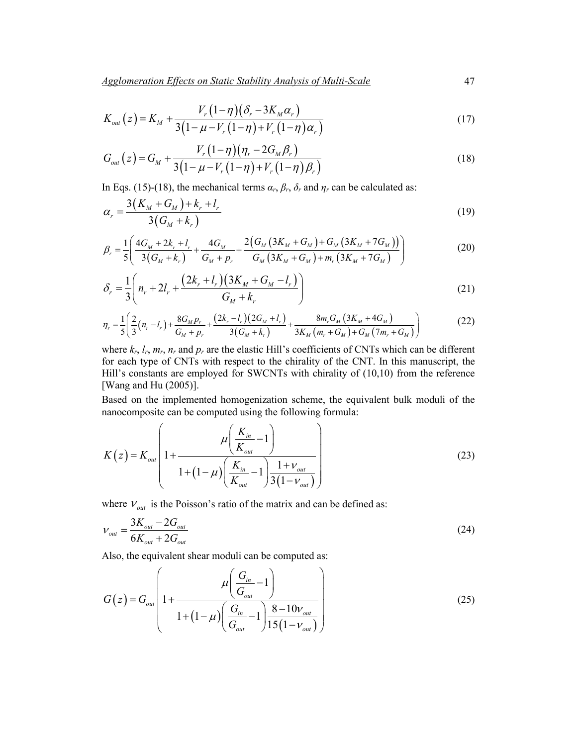$$
K_{out}(z) = K_M + \frac{V_r(1-\eta)(\delta_r - 3K_M\alpha_r)}{3(1-\mu - V_r(1-\eta) + V_r(1-\eta)\alpha_r)}
$$
(17)

$$
G_{out}(z) = G_M + \frac{V_r (1 - \eta)(\eta_r - 2G_M \beta_r)}{3(1 - \mu - V_r (1 - \eta) + V_r (1 - \eta) \beta_r)}
$$
(18)

In Eqs. (15)-(18), the mechanical terms  $\alpha_r$ ,  $\beta_r$ ,  $\delta_r$  and  $\eta_r$  can be calculated as:

$$
\alpha_r = \frac{3(K_M + G_M) + k_r + l_r}{3(G_M + k_r)}
$$
\n(19)

$$
\beta_r = \frac{1}{5} \left( \frac{4G_M + 2k_r + l_r}{3(G_M + k_r)} + \frac{4G_M}{G_M + p_r} + \frac{2\left(G_M\left(3K_M + G_M\right) + G_M\left(3K_M + 7G_M\right)\right)}{G_M\left(3K_M + G_M\right) + m_r\left(3K_M + 7G_M\right)} \right) \tag{20}
$$

$$
\delta_r = \frac{1}{3} \left( n_r + 2l_r + \frac{(2k_r + l_r)(3K_M + G_M - l_r)}{G_M + k_r} \right)
$$
\n(21)

$$
\eta_r = \frac{1}{5} \left( \frac{2}{3} (n_r - l_r) + \frac{8G_M p_r}{G_M + p_r} + \frac{(2k_r - l_r)(2G_M + l_r)}{3(G_M + k_r)} + \frac{8m_r G_M (3K_M + 4G_M)}{3K_M (m_r + G_M) + G_M (7m_r + G_M)} \right)
$$
(22)

where  $k_r$ ,  $l_r$ ,  $m_r$ ,  $n_r$  and  $p_r$  are the elastic Hill's coefficients of CNTs which can be different for each type of CNTs with respect to the chirality of the CNT. In this manuscript, the Hill's constants are employed for SWCNTs with chirality of (10,10) from the reference [Wang and Hu (2005)].

Based on the implemented homogenization scheme, the equivalent bulk moduli of the nanocomposite can be computed using the following formula:

$$
K(z) = K_{out} \left( 1 + \frac{\mu \left( \frac{K_{in}}{K_{out}} - 1 \right)}{1 + (1 - \mu) \left( \frac{K_{in}}{K_{out}} - 1 \right) \frac{1 + \nu_{out}}{3(1 - \nu_{out})}} \right)
$$
(23)

where  $V_{out}$  is the Poisson's ratio of the matrix and can be defined as:

$$
V_{out} = \frac{3K_{out} - 2G_{out}}{6K_{out} + 2G_{out}}
$$
 (24)

Also, the equivalent shear moduli can be computed as:

$$
G(z) = G_{out} \left( 1 + \frac{\mu \left( \frac{G_{in}}{G_{out}} - 1 \right)}{1 + (1 - \mu) \left( \frac{G_{in}}{G_{out}} - 1 \right) \frac{8 - 10v_{out}}{15(1 - v_{out})}} \right)
$$
(25)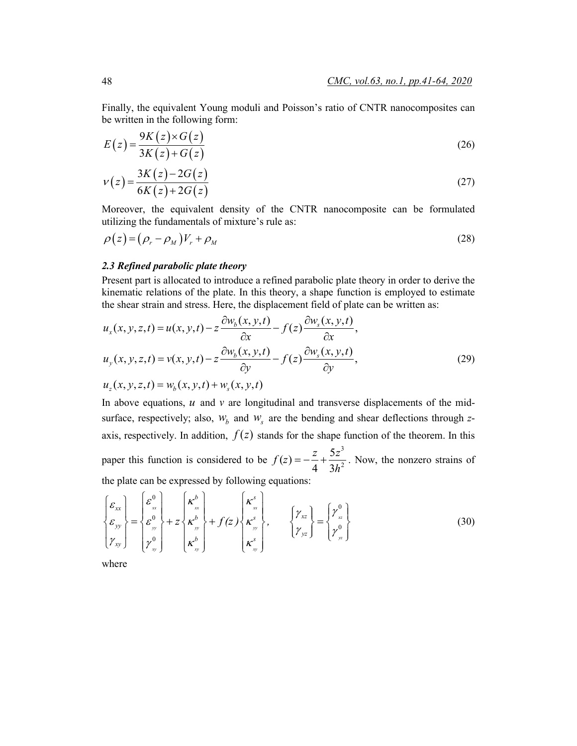Finally, the equivalent Young moduli and Poisson's ratio of CNTR nanocomposites can be written in the following form:

$$
E(z) = \frac{9K(z) \times G(z)}{3K(z) + G(z)}
$$
\n<sup>(26)</sup>

$$
v(z) = \frac{3K(z) - 2G(z)}{6K(z) + 2G(z)}
$$
\n(27)

Moreover, the equivalent density of the CNTR nanocomposite can be formulated utilizing the fundamentals of mixture's rule as:

$$
\rho(z) = (\rho_r - \rho_M)V_r + \rho_M \tag{28}
$$

### *2.3 Refined parabolic plate theory*

Present part is allocated to introduce a refined parabolic plate theory in order to derive the kinematic relations of the plate. In this theory, a shape function is employed to estimate the shear strain and stress. Here, the displacement field of plate can be written as:

$$
u_x(x, y, z, t) = u(x, y, t) - z \frac{\partial w_b(x, y, t)}{\partial x} - f(z) \frac{\partial w_s(x, y, t)}{\partial x},
$$
  
\n
$$
u_y(x, y, z, t) = v(x, y, t) - z \frac{\partial w_b(x, y, t)}{\partial y} - f(z) \frac{\partial w_s(x, y, t)}{\partial y},
$$
  
\n
$$
u_z(x, y, z, t) = w_b(x, y, t) + w_s(x, y, t)
$$
\n(29)

In above equations,  $u$  and  $v$  are longitudinal and transverse displacements of the midsurface, respectively; also,  $W_b$  and  $W_s$  are the bending and shear deflections through  $z$ axis, respectively. In addition,  $f(z)$  stands for the shape function of the theorem. In this paper this function is considered to be 3  $f(z) = -\frac{z}{4} + \frac{5z^3}{3h^2}$ . Now, the nonzero strains of the plate can be expressed by following equations:

$$
\begin{Bmatrix} \mathcal{E}_{xx} \\ \mathcal{E}_{yy} \\ \gamma_{xy} \end{Bmatrix} = \begin{Bmatrix} \mathcal{E}_{xx}^{0} \\ \mathcal{E}_{yy}^{0} \\ \gamma_{xy}^{0} \end{Bmatrix} + z \begin{Bmatrix} \kappa_{xx}^{b} \\ \kappa_{yy}^{b} \\ \kappa_{xy}^{b} \end{Bmatrix} + f(z) \begin{Bmatrix} \kappa_{xx}^{s} \\ \kappa_{yy}^{s} \\ \kappa_{xy}^{s} \end{Bmatrix}, \qquad \begin{Bmatrix} \gamma_{xz} \\ \gamma_{yz} \end{Bmatrix} = \begin{Bmatrix} \gamma_{xz}^{0} \\ \gamma_{yz}^{0} \end{Bmatrix}
$$
(30)

where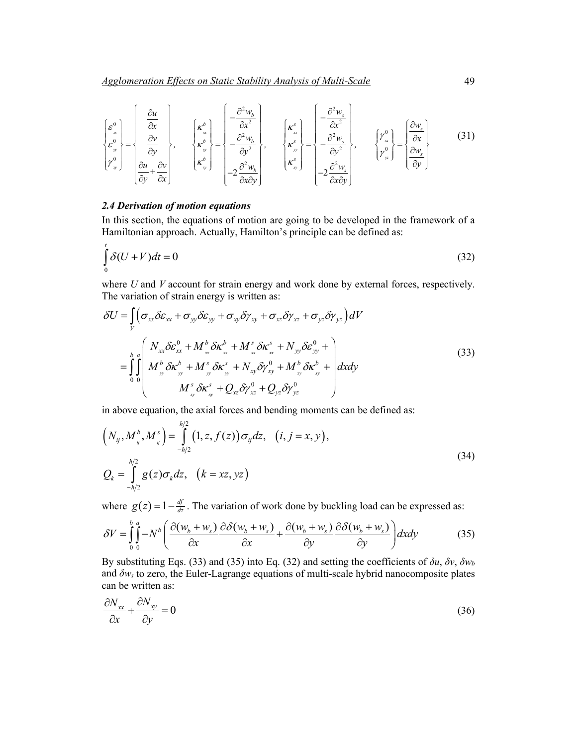$$
\begin{bmatrix} \varepsilon_{w}^{0} \\ \varepsilon_{w}^{0} \\ \varepsilon_{w}^{0} \\ \gamma_{w}^{0} \end{bmatrix} = \begin{bmatrix} \frac{\partial u}{\partial x} \\ \frac{\partial v}{\partial y} \\ \frac{\partial v}{\partial y} \\ \frac{\partial u}{\partial y} + \frac{\partial v}{\partial x} \end{bmatrix}, \qquad \begin{bmatrix} \kappa_{w}^{b} \\ \kappa_{w}^{b} \\ \kappa_{w}^{b} \\ \kappa_{w}^{b} \end{bmatrix} = \begin{bmatrix} -\frac{\partial^{2} w_{b}}{\partial x^{2}} \\ -\frac{\partial^{2} w_{b}}{\partial y^{2}} \\ -2\frac{\partial^{2} w_{b}}{\partial x \partial y} \end{bmatrix}, \qquad \begin{bmatrix} \kappa_{w}^{s} \\ \kappa_{w}^{s} \\ \kappa_{w}^{s} \end{bmatrix} = \begin{bmatrix} -\frac{\partial^{2} w_{s}}{\partial x^{2}} \\ -\frac{\partial^{2} w_{s}}{\partial y^{2}} \\ -2\frac{\partial^{2} w_{s}}{\partial x \partial y} \end{bmatrix}, \qquad \begin{bmatrix} \gamma_{w}^{0} \\ \gamma_{w}^{0} \end{bmatrix} = \begin{bmatrix} \frac{\partial w_{s}}{\partial x} \\ \frac{\partial w_{s}}{\partial y} \end{bmatrix}
$$
(31)

### *2.4 Derivation of motion equations*

In this section, the equations of motion are going to be developed in the framework of a Hamiltonian approach. Actually, Hamilton's principle can be defined as:

$$
\int_{0}^{t} \delta(U+V)dt = 0
$$
\n(32)

where *U* and *V* account for strain energy and work done by external forces, respectively. The variation of strain energy is written as:

$$
\delta U = \int_{V} \left( \sigma_{xx} \delta \varepsilon_{xx} + \sigma_{yy} \delta \varepsilon_{yy} + \sigma_{xy} \delta \gamma_{xy} + \sigma_{xz} \delta \gamma_{xz} + \sigma_{yz} \delta \gamma_{yz} \right) dV
$$
  
\n
$$
= \int_{0}^{b} \int_{0}^{a} \left( \frac{N_{xx} \delta \varepsilon_{xx}^{0} + M_{xx}^{b} \delta \kappa_{xx}^{b} + M_{xx}^{s} \delta \kappa_{xx}^{s} + N_{yy} \delta \varepsilon_{yy}^{0} + \right) dxdy
$$
  
\n
$$
= \int_{0}^{b} \int_{0}^{a} M_{yy}^{b} \delta \kappa_{yy}^{b} + M_{yy}^{s} \delta \kappa_{yy}^{s} + N_{xy} \delta \gamma_{xy}^{0} + M_{xy}^{b} \delta \kappa_{xy}^{b} + \left| dx dy \right|
$$
  
\n
$$
M_{xy}^{s} \delta \kappa_{xy}^{s} + Q_{xz} \delta \gamma_{xz}^{0} + Q_{yz} \delta \gamma_{yz}^{0}
$$
 (33)

in above equation, the axial forces and bending moments can be defined as:

$$
\left(N_{ij}, M_{ij}^b, M_{ij}^s\right) = \int_{-h/2}^{h/2} (1, z, f(z)) \sigma_{ij} dz, \quad (i, j = x, y),
$$
  

$$
Q_k = \int_{-h/2}^{h/2} g(z) \sigma_k dz, \quad (k = xz, yz)
$$
 (34)

where  $g(z) = 1 - \frac{df}{dz}$ . The variation of work done by buckling load can be expressed as:

$$
\delta V = \int_{0}^{b} \int_{0}^{a} -N^{b} \left( \frac{\partial (w_b + w_s)}{\partial x} \frac{\partial \delta (w_b + w_s)}{\partial x} + \frac{\partial (w_b + w_s)}{\partial y} \frac{\partial \delta (w_b + w_s)}{\partial y} \right) dxdy \tag{35}
$$

By substituting Eqs. (33) and (35) into Eq. (32) and setting the coefficients of *δu*, *δv*, *δw<sup>b</sup>* and *δw<sup>s</sup>* to zero, the Euler-Lagrange equations of multi-scale hybrid nanocomposite plates can be written as:

$$
\frac{\partial N_{xx}}{\partial x} + \frac{\partial N_{xy}}{\partial y} = 0
$$
\n(36)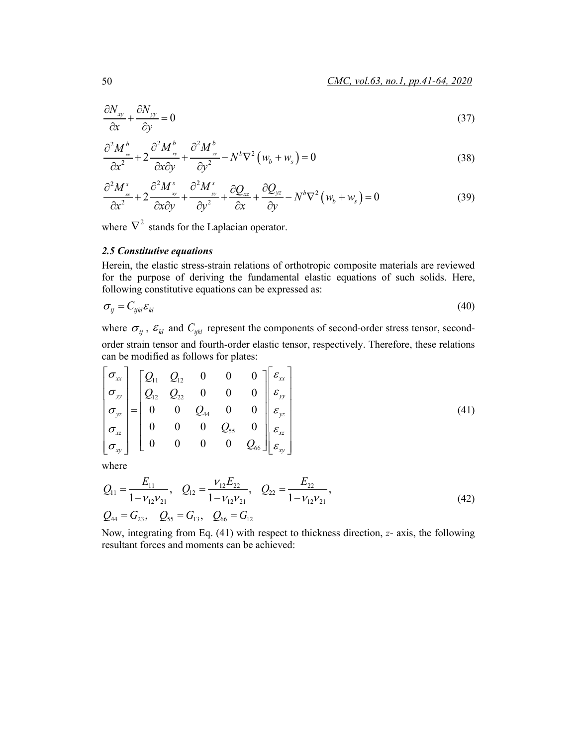$$
\frac{\partial N_{xy}}{\partial x} + \frac{\partial N_{yy}}{\partial y} = 0\tag{37}
$$

$$
\frac{\partial^2 M_{\infty}^b}{\partial x^2} + 2 \frac{\partial^2 M_{\infty}^b}{\partial x \partial y} + \frac{\partial^2 M_{\infty}^b}{\partial y^2} - N^b \nabla^2 \left( w_b + w_s \right) = 0 \tag{38}
$$

$$
\frac{\partial^2 M_{\infty}^s}{\partial x^2} + 2 \frac{\partial^2 M_{\infty}^s}{\partial x \partial y} + \frac{\partial^2 M_{\infty}^s}{\partial y^2} + \frac{\partial Q_{xz}}{\partial x} + \frac{\partial Q_{yz}}{\partial y} - N^b \nabla^2 \left( w_b + w_s \right) = 0 \tag{39}
$$

where  $\nabla^2$  stands for the Laplacian operator.

### *2.5 Constitutive equations*

Herein, the elastic stress-strain relations of orthotropic composite materials are reviewed for the purpose of deriving the fundamental elastic equations of such solids. Here, following constitutive equations can be expressed as:

$$
\sigma_{ij} = C_{ijkl} \varepsilon_{kl} \tag{40}
$$

where  $\sigma_{ii}$ ,  $\varepsilon_{kl}$  and  $C_{iikl}$  represent the components of second-order stress tensor, secondorder strain tensor and fourth-order elastic tensor, respectively. Therefore, these relations can be modified as follows for plates:

$$
\begin{bmatrix}\n\sigma_{xx} \\
\sigma_{yy} \\
\sigma_{yz} \\
\sigma_{xz} \\
\sigma_{xy}\n\end{bmatrix} =\n\begin{bmatrix}\nQ_{11} & Q_{12} & 0 & 0 & 0 \\
Q_{12} & Q_{22} & 0 & 0 & 0 \\
0 & 0 & Q_{44} & 0 & 0 \\
0 & 0 & 0 & Q_{55} & 0 \\
0 & 0 & 0 & 0 & Q_{66}\n\end{bmatrix}\n\begin{bmatrix}\n\varepsilon_{xx} \\
\varepsilon_{yy} \\
\varepsilon_{yz} \\
\varepsilon_{xz} \\
\varepsilon_{xy}\n\end{bmatrix}
$$
\n(41)

where

$$
Q_{11} = \frac{E_{11}}{1 - v_{12}v_{21}}, \quad Q_{12} = \frac{v_{12}E_{22}}{1 - v_{12}v_{21}}, \quad Q_{22} = \frac{E_{22}}{1 - v_{12}v_{21}},
$$
  
\n
$$
Q_{44} = G_{23}, \quad Q_{55} = G_{13}, \quad Q_{66} = G_{12}
$$
\n(42)

Now, integrating from Eq. (41) with respect to thickness direction, *z*- axis, the following resultant forces and moments can be achieved: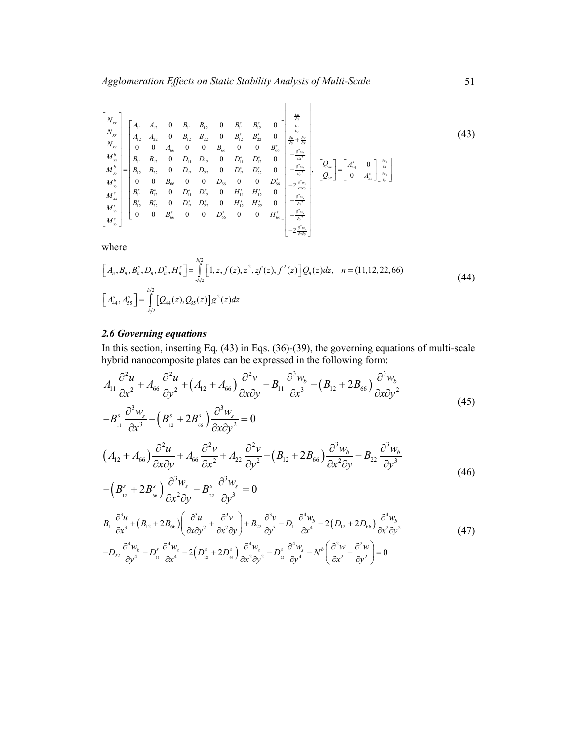$$
\begin{bmatrix}\nN_{xx} \\
N_{yy} \\
N_{xy} \\
M_{xy}^b \\
M_{xy}^b \\
M_{xy}^b \\
M_{xy}^b \\
M_{xy}^s \\
M_{xy}^s \\
M_{xy}^s \\
M_{xy}^s \\
M_{xy}^s \\
M_{xy}^s \\
M_{xy}^s \\
M_{xy}^s \\
M_{xy}^s \\
M_{xy}^s \\
M_{xy}^s \\
M_{xy}^s \\
M_{xy}^s \\
M_{xy}^s \\
M_{xy}^s \\
M_{xy}^s \\
M_{xy}^s \\
M_{xy}^s \\
M_{xy}^s \\
M_{xy}^s \\
M_{xy}^s \\
M_{xy}^s \\
M_{xy}^s \\
M_{xy}^s \\
M_{xy}^s \\
M_{xy}^s \\
M_{xy}^s \\
M_{xy}^s \\
M_{xy}^s \\
M_{xy}^s \\
M_{xy}^s \\
M_{xy}^s \\
M_{xy}^s \\
M_{xy}^s \\
M_{xy}^s \\
M_{xy}^s \\
M_{xy}^s \\
M_{xy}^s \\
M_{xy}^s \\
M_{xy}^s \\
M_{xy}^s \\
M_{xy}^s \\
M_{xy}^s \\
M_{xy}^s \\
M_{xy}^s \\
M_{xy}^s \\
M_{xy}^s \\
M_{xy}^s \\
M_{xy}^s \\
M_{xy}^s \\
M_{xy}^s \\
M_{xy}^s \\
M_{xy}^s \\
M_{xy}^s \\
M_{xy}^s \\
M_{xy}^s \\
M_{xy}^s \\
M_{xy}^s \\
M_{xy}^s \\
M_{xy}^s \\
M_{xy}^s \\
M_{xy}^s \\
M_{xy}^s \\
M_{xy}^s \\
M_{xy}^s \\
M_{xy}^s \\
M_{xy}^s \\
M_{xy}^s \\
M_{xy}^s \\
M_{xy}^s \\
M_{xy}^s \\
M_{xy}^s \\
M_{xy}^s \\
M_{xy}^s \\
M_{xy}^s \\
M_{xy}^s \\
M_{xy}^s \\
M_{xy}^s \\
M_{xy}^s \\
M_{xy}^s \\
M_{xy}^s \\
M_{xy}^s \\
M_{xy}^s \\
M_{xy}^s \\
M_{xy}^s \\
M_{xy}^s \\
M_{xy}^s \\
M_{xy}^s \\
M_{xy}^s \\
M_{xy}^s \\
M_{xy}^s \\
M_{xy}^s \\
M_{xy}^s \\
M_{xy}^s \\
M_{xy}^s \\
M_{xy}^s \\
M_{xy}^s \\
M_{xy}^s \\
M_{xy}^s \\
M_{xy}^s \\
M_{xy}^s \\
M_{xy
$$

where

$$
\begin{aligned}\n\left[A_n, B_n, B_n^s, D_n, D_n^s, H_n^s\right] &= \int_{-h/2}^{h/2} \left[1, z, f(z), z^2, z f(z), f^2(z)\right] Q_n(z) dz, \quad n = (11, 12, 22, 66) \\
\left[A_{44}^s, A_{55}^s\right] &= \int_{-h/2}^{h/2} \left[Q_{44}(z), Q_{55}(z)\right] g^2(z) dz\n\end{aligned} \tag{44}
$$

## *2.6 Governing equations*

In this section, inserting Eq. (43) in Eqs. (36)-(39), the governing equations of multi-scale hybrid nanocomposite plates can be expressed in the following form:

$$
A_{11} \frac{\partial^2 u}{\partial x^2} + A_{66} \frac{\partial^2 u}{\partial y^2} + (A_{12} + A_{66}) \frac{\partial^2 v}{\partial x \partial y} - B_{11} \frac{\partial^3 w_b}{\partial x^3} - (B_{12} + 2B_{66}) \frac{\partial^3 w_b}{\partial x \partial y^2}
$$
\n
$$
-B_{11}^s \frac{\partial^3 w_s}{\partial x^3} - (B_{12}^s + 2B_{66}^s) \frac{\partial^3 w_s}{\partial x \partial y^2} = 0
$$
\n
$$
(A_{12} + A_{66}) \frac{\partial^2 u}{\partial x \partial y} + A_{66} \frac{\partial^2 v}{\partial x^2} + A_{22} \frac{\partial^2 v}{\partial y^2} - (B_{12} + 2B_{66}) \frac{\partial^3 w_b}{\partial x^2 \partial y} - B_{22} \frac{\partial^3 w_b}{\partial y^3}
$$
\n
$$
- (B_{12}^s + 2B_{66}^s) \frac{\partial^3 w_s}{\partial x^2 \partial y} - B_{22}^s \frac{\partial^3 w_s}{\partial y^3} = 0
$$
\n
$$
B_{11} \frac{\partial^3 u}{\partial x^3} + (B_{12} + 2B_{66}) \left( \frac{\partial^3 u}{\partial x \partial y^2} + \frac{\partial^3 v}{\partial x^2 \partial y} \right) + B_{22} \frac{\partial^3 v}{\partial y^3} - D_{11} \frac{\partial^4 w_b}{\partial x^4} - 2(D_{12} + 2D_{66}) \frac{\partial^4 w_b}{\partial x^2 \partial y^2}
$$
\n
$$
- D_{22} \frac{\partial^4 w_b}{\partial y^4} - D_{11}^s \frac{\partial^4 w_s}{\partial x^4} - 2(D_{12}^s + 2D_{66}^s) \frac{\partial^4 w_s}{\partial x^2 \partial y^2} - D_{22}^s \frac{\partial^4 w_s}{\partial y^4} - N^b \left( \frac{\partial^2 w}{\partial x^2} + \frac{\partial^2 w}{\partial y^2} \right) = 0
$$
\n
$$
(47)
$$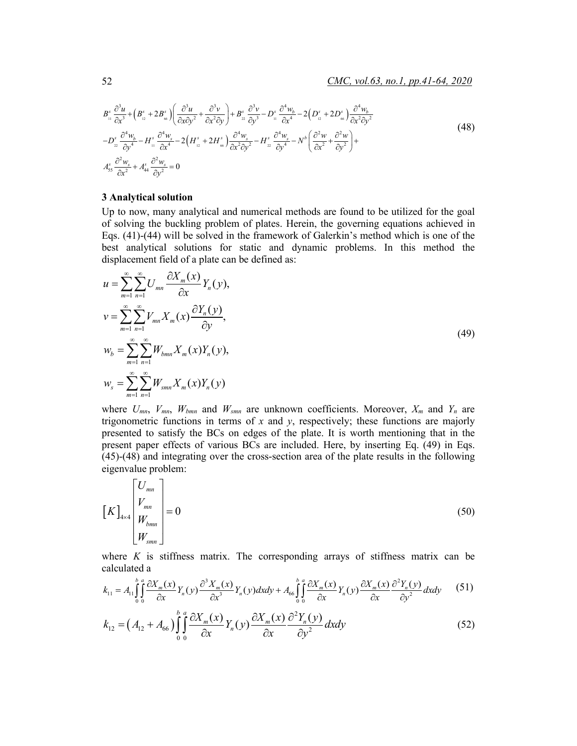$$
B_{11}^{s} \frac{\partial^{3} u}{\partial x^{3}} + \left(B_{12}^{s} + 2B_{\omega}^{s}\right) \left(\frac{\partial^{3} u}{\partial x \partial y^{2}} + \frac{\partial^{3} v}{\partial x^{2} \partial y}\right) + B_{22}^{s} \frac{\partial^{3} v}{\partial y^{3}} - D_{11}^{s} \frac{\partial^{4} w_{b}}{\partial x^{4}} - 2\left(D_{12}^{s} + 2D_{\omega}^{s}\right) \frac{\partial^{4} w_{b}}{\partial x^{2} \partial y^{2}} - D_{22}^{s} \frac{\partial^{4} w_{b}}{\partial y^{4}} - H_{11}^{s} \frac{\partial^{4} w_{s}}{\partial x^{4}} - 2\left(H_{12}^{s} + 2H_{\omega}^{s}\right) \frac{\partial^{4} w_{s}}{\partial x^{2} \partial y^{2}} - H_{22}^{s} \frac{\partial^{4} w_{s}}{\partial y^{4}} - N^{b}\left(\frac{\partial^{2} w}{\partial x^{2}} + \frac{\partial^{2} w}{\partial y^{2}}\right) + A_{35}^{s} \frac{\partial^{2} w_{s}}{\partial x^{2}} + A_{44}^{s} \frac{\partial^{2} w_{s}}{\partial y^{2}} = 0
$$
\n
$$
(48)
$$

#### **3 Analytical solution**

Up to now, many analytical and numerical methods are found to be utilized for the goal of solving the buckling problem of plates. Herein, the governing equations achieved in Eqs. (41)-(44) will be solved in the framework of Galerkin's method which is one of the best analytical solutions for static and dynamic problems. In this method the displacement field of a plate can be defined as:

$$
u = \sum_{m=1}^{\infty} \sum_{n=1}^{\infty} U_{mn} \frac{\partial X_m(x)}{\partial x} Y_n(y),
$$
  
\n
$$
v = \sum_{m=1}^{\infty} \sum_{n=1}^{\infty} V_{mn} X_m(x) \frac{\partial Y_n(y)}{\partial y},
$$
  
\n
$$
w_b = \sum_{m=1}^{\infty} \sum_{n=1}^{\infty} W_{bmn} X_m(x) Y_n(y),
$$
  
\n
$$
w_s = \sum_{m=1}^{\infty} \sum_{n=1}^{\infty} W_{smn} X_m(x) Y_n(y)
$$
\n(49)

where  $U_{mn}$ ,  $V_{mn}$ ,  $W_{bnn}$  and  $W_{smn}$  are unknown coefficients. Moreover,  $X_m$  and  $Y_n$  are trigonometric functions in terms of *x* and *y*, respectively; these functions are majorly presented to satisfy the BCs on edges of the plate. It is worth mentioning that in the present paper effects of various BCs are included. Here, by inserting Eq. (49) in Eqs. (45)-(48) and integrating over the cross-section area of the plate results in the following eigenvalue problem:

$$
\begin{bmatrix} K \end{bmatrix}_{4 \times 4} \begin{bmatrix} U_{mn} \\ V_{mn} \\ W_{bm} \\ W_{smn} \end{bmatrix} = 0 \tag{50}
$$

where  $K$  is stiffness matrix. The corresponding arrays of stiffness matrix can be calculated a

$$
k_{11} = A_{11} \int_{0}^{b} \int_{0}^{a} \frac{\partial X_m(x)}{\partial x} Y_n(y) \frac{\partial^3 X_m(x)}{\partial x^3} Y_n(y) dx dy + A_{66} \int_{0}^{b} \int_{0}^{a} \frac{\partial X_m(x)}{\partial x} Y_n(y) \frac{\partial X_m(x)}{\partial x} \frac{\partial^2 Y_n(y)}{\partial y^2} dx dy \tag{51}
$$

$$
k_{12} = \left(A_{12} + A_{66}\right) \int_{0}^{b} \int_{0}^{a} \frac{\partial X_m(x)}{\partial x} Y_n(y) \frac{\partial X_m(x)}{\partial x} \frac{\partial^2 Y_n(y)}{\partial y^2} dxdy \tag{52}
$$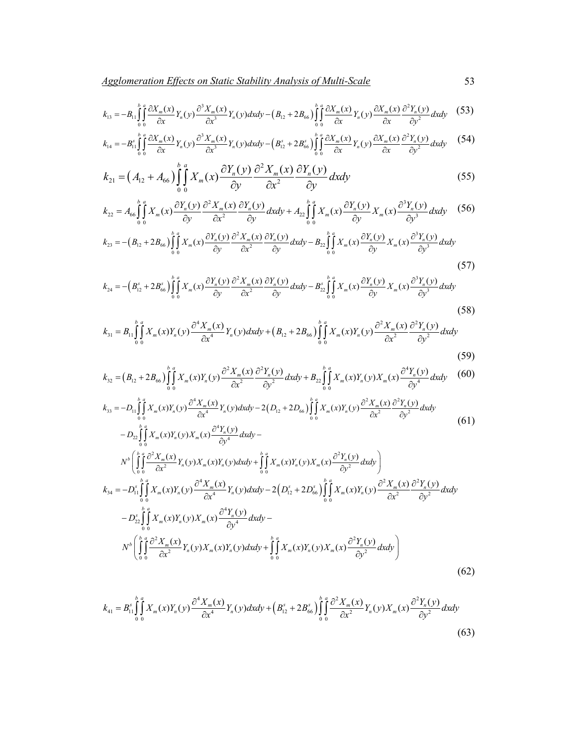$$
k_{13} = -B_{11} \int_{0}^{b} \int_{0}^{a} \frac{\partial X_m(x)}{\partial x} Y_n(y) \frac{\partial^3 X_m(x)}{\partial x^3} Y_n(y) dxdy - (B_{12} + 2B_{66}) \int_{0}^{b} \int_{0}^{a} \frac{\partial X_m(x)}{\partial x} Y_n(y) \frac{\partial X_m(x)}{\partial x} \frac{\partial^2 Y_n(y)}{\partial y^2} dxdy \tag{53}
$$

$$
k_{14} = -B_{11}^s \int_0^b \frac{\partial X_m(x)}{\partial x} Y_n(y) \frac{\partial^3 X_m(x)}{\partial x^3} Y_n(y) dx dy - \left(B_{12}^s + 2B_{66}^s \right) \int_0^b \int_0^a \frac{\partial X_m(x)}{\partial x} Y_n(y) \frac{\partial X_m(x)}{\partial x} \frac{\partial^2 Y_n(y)}{\partial y^2} dx dy \tag{54}
$$

$$
k_{21} = \left(A_{12} + A_{66}\right) \int_{0}^{b} \int_{0}^{a} X_m(x) \frac{\partial Y_n(y)}{\partial y} \frac{\partial^2 X_m(x)}{\partial x^2} \frac{\partial Y_n(y)}{\partial y} dx dy \tag{55}
$$

$$
k_{22} = A_{66} \int_{0}^{b} \int_{0}^{a} X_m(x) \frac{\partial Y_n(y)}{\partial y} \frac{\partial^2 X_m(x)}{\partial x^2} \frac{\partial Y_n(y)}{\partial y} dx dy + A_{22} \int_{0}^{b} \int_{0}^{a} X_m(x) \frac{\partial Y_n(y)}{\partial y} X_m(x) \frac{\partial^3 Y_n(y)}{\partial y^3} dx dy \quad (56)
$$

$$
k_{23} = -\left(B_{12} + 2B_{66}\right) \int_{0}^{b} \int_{0}^{\alpha} X_m(x) \frac{\partial Y_n(y)}{\partial y} \frac{\partial^2 X_m(x)}{\partial x^2} \frac{\partial Y_n(y)}{\partial y} dx dy - B_{22} \int_{0}^{b} \int_{0}^{\alpha} X_m(x) \frac{\partial Y_n(y)}{\partial y} X_m(x) \frac{\partial^3 Y_n(y)}{\partial y^3} dx dy \tag{57}
$$

$$
k_{24} = -\left(B_{12}^s + 2B_{66}^s\right) \int_0^b \int_0^a X_m(x) \frac{\partial Y_n(y)}{\partial y} \frac{\partial^2 X_m(x)}{\partial x^2} \frac{\partial Y_n(y)}{\partial y} dx dy - B_{22}^s \int_0^b \int_0^a X_m(x) \frac{\partial Y_n(y)}{\partial y} X_m(x) \frac{\partial^3 Y_n(y)}{\partial y^3} dx dy \tag{58}
$$

$$
k_{31} = B_{11} \int_{0}^{b} \int_{0}^{a} X_{m}(x) Y_{n}(y) \frac{\partial^{4} X_{m}(x)}{\partial x^{4}} Y_{n}(y) dxdy + (B_{12} + 2B_{66}) \int_{0}^{b} \int_{0}^{a} X_{m}(x) Y_{n}(y) \frac{\partial^{2} X_{m}(x)}{\partial x^{2}} \frac{\partial^{2} Y_{n}(y)}{\partial y^{2}} dxdy
$$
\n(59)

$$
k_{32} = (B_{12} + 2B_{66}) \int_{0}^{b} \int_{0}^{a} X_m(x) Y_n(y) \frac{\partial^2 X_m(x)}{\partial x^2} \frac{\partial^2 Y_n(y)}{\partial y^2} dx dy + B_{22} \int_{0}^{b} \int_{0}^{a} X_m(x) Y_n(y) X_m(x) \frac{\partial^4 Y_n(y)}{\partial y^4} dx dy \tag{60}
$$

$$
k_{33} = -D_{11} \int_{0}^{b} \int_{0}^{a} X_{m}(x)Y_{n}(y) \frac{\partial^{4} X_{m}(x)}{\partial x^{4}} Y_{n}(y) dxdy - 2(D_{12} + 2D_{66}) \int_{0}^{b} \int_{0}^{a} X_{m}(x)Y_{n}(y) \frac{\partial^{2} X_{m}(x)}{\partial x^{2}} \frac{\partial^{2} Y_{n}(y)}{\partial y^{2}} dxdy - D_{22} \int_{0}^{b} \int_{0}^{a} X_{m}(x)Y_{n}(y) X_{m}(x) \frac{\partial^{4} Y_{n}(y)}{\partial y^{4}} dxdy -
$$
\n(61)

$$
N^{b} \left( \int_{0}^{b} \int_{0}^{a} \frac{\partial^{2} X_{m}(x)}{\partial x^{2}} Y_{n}(y) X_{m}(x) Y_{n}(y) dxdy + \int_{0}^{b} \int_{0}^{a} X_{m}(x) Y_{n}(y) X_{m}(x) \frac{\partial^{2} Y_{n}(y)}{\partial y^{2}} dxdy \right)
$$
  
\n
$$
k_{34} = -D_{11}^{s} \int_{0}^{b} \int_{0}^{a} X_{m}(x) Y_{n}(y) \frac{\partial^{4} X_{m}(x)}{\partial x^{4}} Y_{n}(y) dxdy - 2 \left( D_{12}^{s} + 2 D_{66}^{s} \right) \int_{0}^{b} \int_{0}^{a} X_{m}(x) Y_{n}(y) \frac{\partial^{2} X_{m}(x)}{\partial x^{2}} \frac{\partial^{2} Y_{n}(y)}{\partial y^{2}} dxdy
$$
  
\n
$$
-D_{22}^{s} \int_{0}^{b} \int_{0}^{a} X_{m}(x) Y_{n}(y) X_{m}(x) \frac{\partial^{4} Y_{n}(y)}{\partial y^{4}} dxdy - N^{b} \left( \int_{0}^{b} \int_{0}^{a} \frac{\partial^{2} X_{m}(x)}{\partial x^{2}} Y_{n}(y) X_{m}(x) Y_{n}(y) dxdy + \int_{0}^{b} \int_{0}^{a} X_{m}(x) Y_{n}(y) X_{m}(x) \frac{\partial^{2} Y_{n}(y)}{\partial y^{2}} dxdy \right)
$$
  
\n
$$
(62)
$$

$$
k_{41} = B_{11}^s \int_0^b \int_0^a X_m(x) Y_n(y) \frac{\partial^4 X_m(x)}{\partial x^4} Y_n(y) dx dy + \left( B_{12}^s + 2 B_{66}^s \right) \int_0^b \int_0^a \frac{\partial^2 X_m(x)}{\partial x^2} Y_n(y) X_m(x) \frac{\partial^2 Y_n(y)}{\partial y^2} dx dy \tag{63}
$$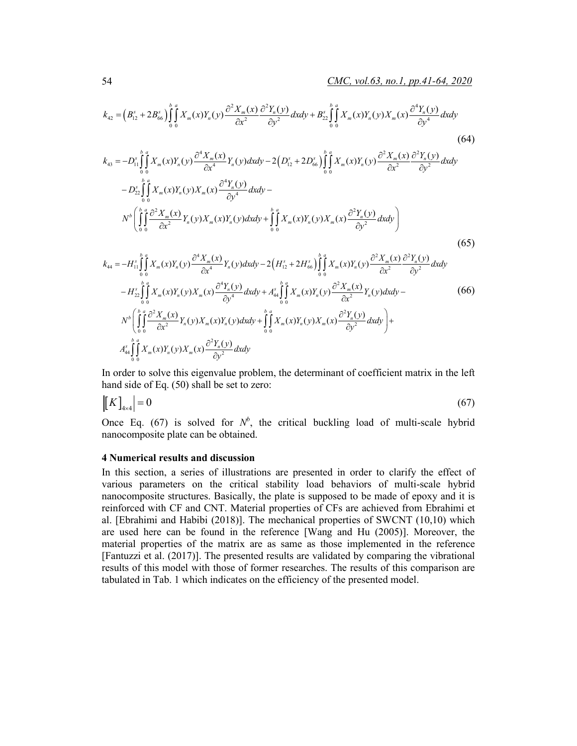$$
k_{42} = (B_{12}^{s} + 2B_{66}^{s})\int_{0}^{h} \int_{0}^{h} X_{m}(x)Y_{n}(y)\frac{\partial^{2} X_{m}(x)}{\partial x^{2}}\frac{\partial^{2} Y_{n}(y)}{\partial y^{2}}dxdy + B_{22}^{s}\int_{0}^{h} \int_{0}^{h} X_{m}(x)Y_{n}(y)X_{m}(x)\frac{\partial^{4} Y_{n}(y)}{\partial y^{4}}dxdy
$$
\n
$$
k_{43} = -D_{11}^{s}\int_{0}^{h} \int_{0}^{h} X_{m}(x)Y_{n}(y)\frac{\partial^{4} X_{m}(x)}{\partial x^{4}}Y_{n}(y)dxdy - 2\left(D_{12}^{s} + 2D_{66}^{s}\right)\int_{0}^{h} \int_{0}^{h} X_{m}(x)Y_{n}(y)\frac{\partial^{2} X_{m}(x)}{\partial x^{2}}\frac{\partial^{2} Y_{n}(y)}{\partial y^{2}}dxdy
$$
\n
$$
-D_{22}^{s}\int_{0}^{h} \int_{0}^{h} X_{m}(x)Y_{n}(y)X_{m}(x)\frac{\partial^{4} Y_{n}(y)}{\partial y^{4}}dxdy - N^{b}\left(\int_{0}^{h} \int_{0}^{h} \frac{\partial^{2} X_{m}(x)}{\partial x^{2}}Y_{n}(y)X_{m}(x)Y_{n}(y)dxdy + \int_{0}^{h} \int_{0}^{h} X_{m}(x)Y_{n}(y)X_{m}(x)\frac{\partial^{2} Y_{n}(y)}{\partial y^{2}}dxdy\right)
$$
\n
$$
k_{44} = -H_{11}^{s}\int_{0}^{h} \int_{0}^{h} X_{m}(x)Y_{n}(y)\frac{\partial^{4} X_{m}(x)}{\partial x^{4}}Y_{n}(y)dxdy - 2\left(H_{12}^{s} + 2H_{66}^{s}\right)\int_{0}^{h} \int_{0}^{h} X_{m}(x)Y_{n}(y)\frac{\partial^{2} X_{m}(x)}{\partial x^{2}}\frac{\partial^{2} Y_{n}(y)}{\partial y^{2}}dxdy
$$
\n
$$
-H_{22}^{s}\int_{0}^{h} \int_{0}^{h} X_{m}(x)Y_{n}(y)X_{m}(x)\frac{\partial^{4} Y_{n}(y)}{\partial y^{
$$

In order to solve this eigenvalue problem, the determinant of coefficient matrix in the left hand side of Eq. (50) shall be set to zero:

$$
\left| \left[ K \right]_{4 \times 4} \right| = 0 \tag{67}
$$

Once Eq. (67) is solved for  $N^b$ , the critical buckling load of multi-scale hybrid nanocomposite plate can be obtained.

### **4 Numerical results and discussion**

 $\frac{44}{\pi} \int_{0}^{\infty} \frac{1}{n} \sqrt{\frac{\lambda}{n}} \sqrt{\frac{\lambda}{n}} \sqrt{\frac{\lambda}{n}} \sqrt{\frac{\lambda}{n}} \sqrt{\frac{\lambda}{n}}$ 

 $\iint_{0}^{\infty} X_{m}(x) Y_{n}(y) X_{m}(x) \frac{\partial Y}{\partial x}$ 

In this section, a series of illustrations are presented in order to clarify the effect of various parameters on the critical stability load behaviors of multi-scale hybrid nanocomposite structures. Basically, the plate is supposed to be made of epoxy and it is reinforced with CF and CNT. Material properties of CFs are achieved from Ebrahimi et al. [Ebrahimi and Habibi (2018)]. The mechanical properties of SWCNT (10,10) which are used here can be found in the reference [Wang and Hu (2005)]. Moreover, the material properties of the matrix are as same as those implemented in the reference [Fantuzzi et al. (2017)]. The presented results are validated by comparing the vibrational results of this model with those of former researches. The results of this comparison are tabulated in Tab. 1 which indicates on the efficiency of the presented model.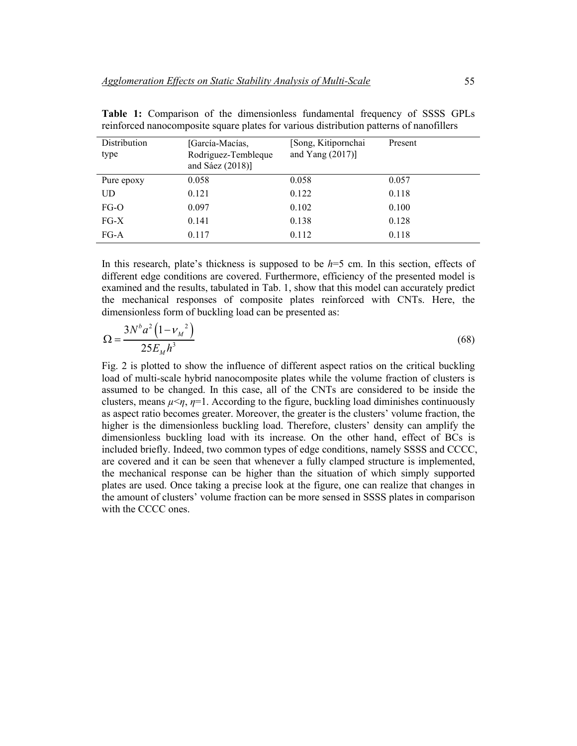| Distribution<br>type | [García-Macías,<br>Rodriguez-Tembleque<br>and Sáez $(2018)$ ] | [Song, Kitipornchai<br>and Yang $(2017)$ ] | Present |
|----------------------|---------------------------------------------------------------|--------------------------------------------|---------|
| Pure epoxy           | 0.058                                                         | 0.058                                      | 0.057   |
| UD                   | 0.121                                                         | 0.122                                      | 0.118   |
| $FG-O$               | 0.097                                                         | 0.102                                      | 0.100   |
| $FG-X$               | 0.141                                                         | 0.138                                      | 0.128   |
| $FG-A$               | 0.117                                                         | 0.112                                      | 0.118   |

**Table 1:** Comparison of the dimensionless fundamental frequency of SSSS GPLs reinforced nanocomposite square plates for various distribution patterns of nanofillers

In this research, plate's thickness is supposed to be *h*=5 cm. In this section, effects of different edge conditions are covered. Furthermore, efficiency of the presented model is examined and the results, tabulated in Tab. 1, show that this model can accurately predict the mechanical responses of composite plates reinforced with CNTs. Here, the dimensionless form of buckling load can be presented as:

$$
\Omega = \frac{3N^b a^2 (1 - {v_M}^2)}{25E_M h^3}
$$
\n(68)

Fig. 2 is plotted to show the influence of different aspect ratios on the critical buckling load of multi-scale hybrid nanocomposite plates while the volume fraction of clusters is assumed to be changed. In this case, all of the CNTs are considered to be inside the clusters, means  $\mu \leq \eta$ ,  $\eta = 1$ . According to the figure, buckling load diminishes continuously as aspect ratio becomes greater. Moreover, the greater is the clusters' volume fraction, the higher is the dimensionless buckling load. Therefore, clusters' density can amplify the dimensionless buckling load with its increase. On the other hand, effect of BCs is included briefly. Indeed, two common types of edge conditions, namely SSSS and CCCC, are covered and it can be seen that whenever a fully clamped structure is implemented, the mechanical response can be higher than the situation of which simply supported plates are used. Once taking a precise look at the figure, one can realize that changes in the amount of clusters' volume fraction can be more sensed in SSSS plates in comparison with the CCCC ones.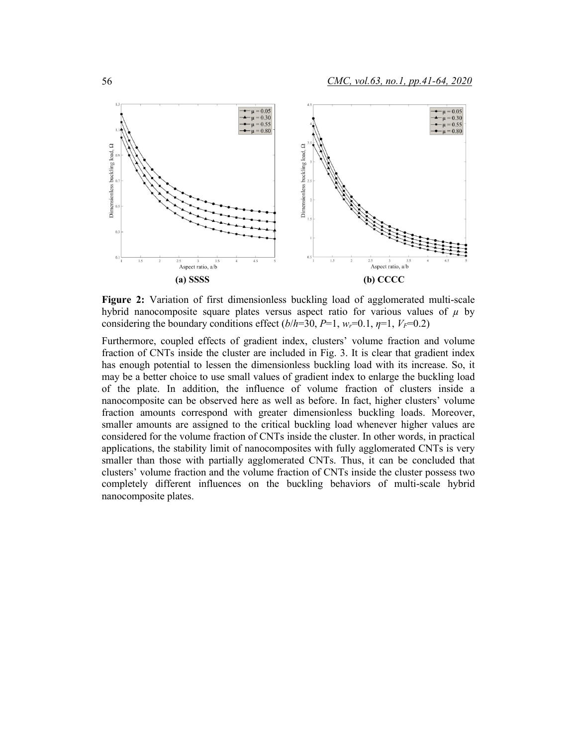

**Figure 2:** Variation of first dimensionless buckling load of agglomerated multi-scale hybrid nanocomposite square plates versus aspect ratio for various values of  $\mu$  by considering the boundary conditions effect  $(b/h=30, P=1, w_r=0.1, \eta=1, V_F=0.2)$ 

Furthermore, coupled effects of gradient index, clusters' volume fraction and volume fraction of CNTs inside the cluster are included in Fig. 3. It is clear that gradient index has enough potential to lessen the dimensionless buckling load with its increase. So, it may be a better choice to use small values of gradient index to enlarge the buckling load of the plate. In addition, the influence of volume fraction of clusters inside a nanocomposite can be observed here as well as before. In fact, higher clusters' volume fraction amounts correspond with greater dimensionless buckling loads. Moreover, smaller amounts are assigned to the critical buckling load whenever higher values are considered for the volume fraction of CNTs inside the cluster. In other words, in practical applications, the stability limit of nanocomposites with fully agglomerated CNTs is very smaller than those with partially agglomerated CNTs. Thus, it can be concluded that clusters' volume fraction and the volume fraction of CNTs inside the cluster possess two completely different influences on the buckling behaviors of multi-scale hybrid nanocomposite plates.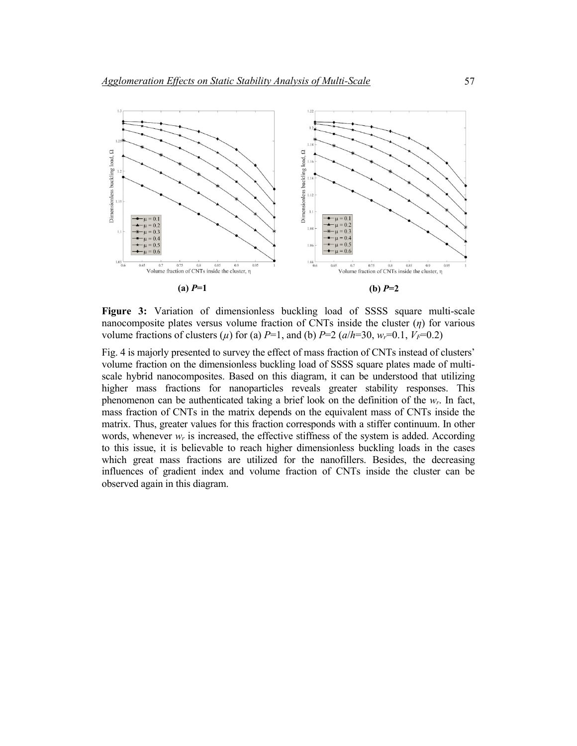

**Figure 3:** Variation of dimensionless buckling load of SSSS square multi-scale nanocomposite plates versus volume fraction of CNTs inside the cluster (*η*) for various volume fractions of clusters ( $\mu$ ) for (a) *P*=1, and (b) *P*=2 ( $a/h=30$ ,  $w_r=0.1$ ,  $V_F=0.2$ )

Fig. 4 is majorly presented to survey the effect of mass fraction of CNTs instead of clusters' volume fraction on the dimensionless buckling load of SSSS square plates made of multiscale hybrid nanocomposites. Based on this diagram, it can be understood that utilizing higher mass fractions for nanoparticles reveals greater stability responses. This phenomenon can be authenticated taking a brief look on the definition of the  $w_r$ . In fact, mass fraction of CNTs in the matrix depends on the equivalent mass of CNTs inside the matrix. Thus, greater values for this fraction corresponds with a stiffer continuum. In other words, whenever  $w_r$  is increased, the effective stiffness of the system is added. According to this issue, it is believable to reach higher dimensionless buckling loads in the cases which great mass fractions are utilized for the nanofillers. Besides, the decreasing influences of gradient index and volume fraction of CNTs inside the cluster can be observed again in this diagram.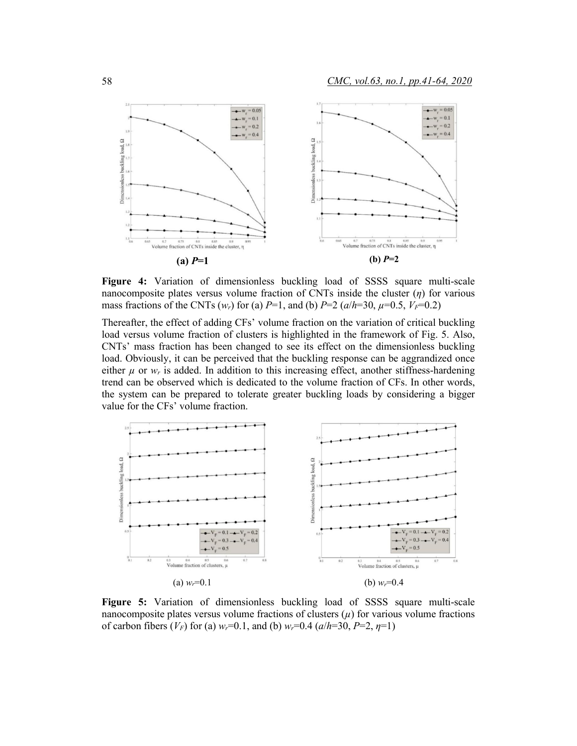

**Figure 4:** Variation of dimensionless buckling load of SSSS square multi-scale nanocomposite plates versus volume fraction of CNTs inside the cluster (*η*) for various mass fractions of the CNTs  $(w_r)$  for (a)  $P=1$ , and (b)  $P=2$   $(a/h=30, \mu=0.5, V_F=0.2)$ 

Thereafter, the effect of adding CFs' volume fraction on the variation of critical buckling load versus volume fraction of clusters is highlighted in the framework of Fig. 5. Also, CNTs' mass fraction has been changed to see its effect on the dimensionless buckling load. Obviously, it can be perceived that the buckling response can be aggrandized once either  $\mu$  or  $w_r$  is added. In addition to this increasing effect, another stiffness-hardening trend can be observed which is dedicated to the volume fraction of CFs. In other words, the system can be prepared to tolerate greater buckling loads by considering a bigger value for the CFs' volume fraction.



**Figure 5:** Variation of dimensionless buckling load of SSSS square multi-scale nanocomposite plates versus volume fractions of clusters  $(\mu)$  for various volume fractions of carbon fibers  $(V_F)$  for (a)  $w_r=0.1$ , and (b)  $w_r=0.4$  ( $a/h=30$ ,  $P=2$ ,  $\eta=1$ )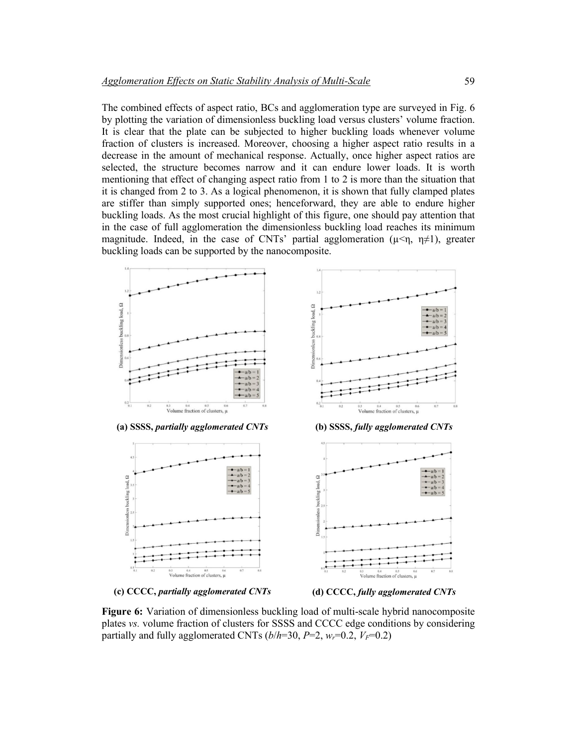The combined effects of aspect ratio, BCs and agglomeration type are surveyed in Fig. 6 by plotting the variation of dimensionless buckling load versus clusters' volume fraction. It is clear that the plate can be subjected to higher buckling loads whenever volume fraction of clusters is increased. Moreover, choosing a higher aspect ratio results in a decrease in the amount of mechanical response. Actually, once higher aspect ratios are selected, the structure becomes narrow and it can endure lower loads. It is worth mentioning that effect of changing aspect ratio from 1 to 2 is more than the situation that it is changed from 2 to 3. As a logical phenomenon, it is shown that fully clamped plates are stiffer than simply supported ones; henceforward, they are able to endure higher buckling loads. As the most crucial highlight of this figure, one should pay attention that in the case of full agglomeration the dimensionless buckling load reaches its minimum magnitude. Indeed, in the case of CNTs' partial agglomeration ( $\mu < \eta$ ,  $\eta \neq 1$ ), greater buckling loads can be supported by the nanocomposite.



**(c) CCCC,** *partially agglomerated CNTs* **(d) CCCC,** *fully agglomerated CNTs*

**Figure 6:** Variation of dimensionless buckling load of multi-scale hybrid nanocomposite plates *vs.* volume fraction of clusters for SSSS and CCCC edge conditions by considering partially and fully agglomerated CNTs  $(b/h=30, P=2, w_r=0.2, V_F=0.2)$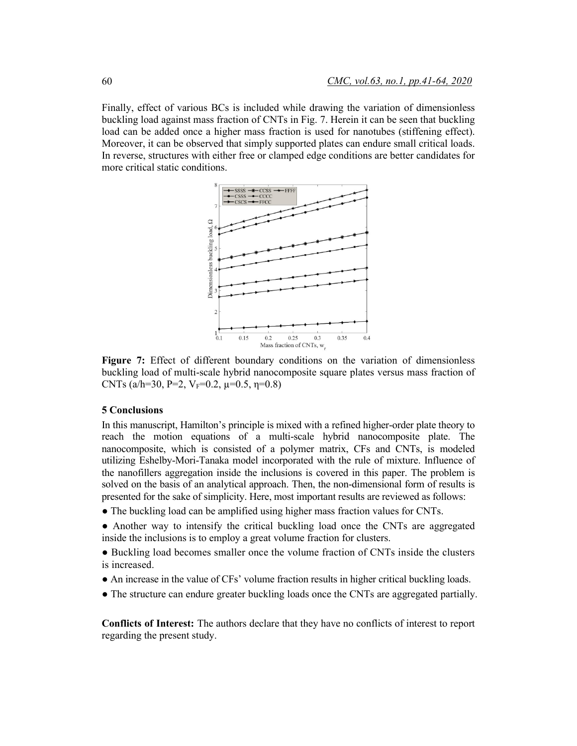Finally, effect of various BCs is included while drawing the variation of dimensionless buckling load against mass fraction of CNTs in Fig. 7. Herein it can be seen that buckling load can be added once a higher mass fraction is used for nanotubes (stiffening effect). Moreover, it can be observed that simply supported plates can endure small critical loads. In reverse, structures with either free or clamped edge conditions are better candidates for more critical static conditions.



**Figure 7:** Effect of different boundary conditions on the variation of dimensionless buckling load of multi-scale hybrid nanocomposite square plates versus mass fraction of CNTs (a/h=30, P=2,  $V_F$ =0.2,  $\mu$ =0.5,  $\eta$ =0.8)

### **5 Conclusions**

In this manuscript, Hamilton's principle is mixed with a refined higher-order plate theory to reach the motion equations of a multi-scale hybrid nanocomposite plate. The nanocomposite, which is consisted of a polymer matrix, CFs and CNTs, is modeled utilizing Eshelby-Mori-Tanaka model incorporated with the rule of mixture. Influence of the nanofillers aggregation inside the inclusions is covered in this paper. The problem is solved on the basis of an analytical approach. Then, the non-dimensional form of results is presented for the sake of simplicity. Here, most important results are reviewed as follows:

● The buckling load can be amplified using higher mass fraction values for CNTs.

● Another way to intensify the critical buckling load once the CNTs are aggregated inside the inclusions is to employ a great volume fraction for clusters.

- Buckling load becomes smaller once the volume fraction of CNTs inside the clusters is increased.
- An increase in the value of CFs' volume fraction results in higher critical buckling loads.
- The structure can endure greater buckling loads once the CNTs are aggregated partially.

**Conflicts of Interest:** The authors declare that they have no conflicts of interest to report regarding the present study.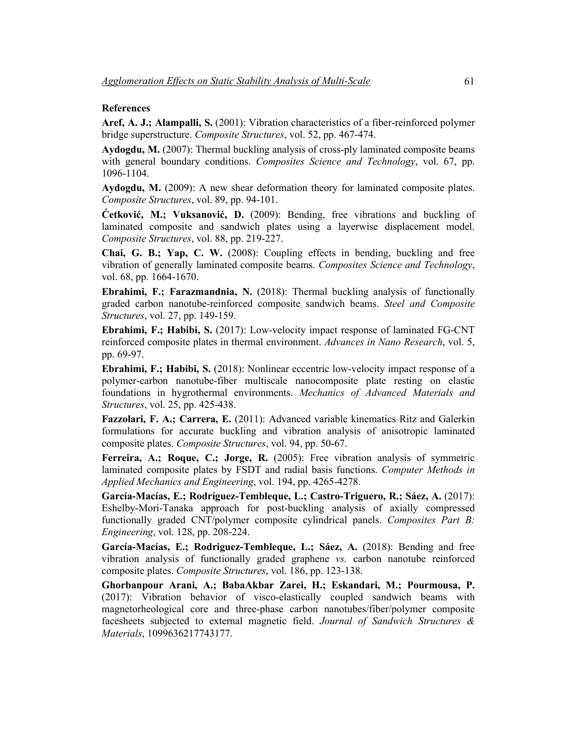### **References**

**Aref, A. J.; Alampalli, S.** (2001): Vibration characteristics of a fiber-reinforced polymer bridge superstructure. *Composite Structures*, vol. 52, pp. 467-474.

**Aydogdu, M.** (2007): Thermal buckling analysis of cross-ply laminated composite beams with general boundary conditions. *Composites Science and Technology*, vol. 67, pp. 1096-1104.

**Aydogdu, M.** (2009): A new shear deformation theory for laminated composite plates. *Composite Structures*, vol. 89, pp. 94-101.

**Ćetković, M.; Vuksanović, D.** (2009): Bending, free vibrations and buckling of laminated composite and sandwich plates using a layerwise displacement model. *Composite Structures*, vol. 88, pp. 219-227.

**Chai, G. B.; Yap, C. W.** (2008): Coupling effects in bending, buckling and free vibration of generally laminated composite beams. *Composites Science and Technology*, vol. 68, pp. 1664-1670.

**Ebrahimi, F.; Farazmandnia, N.** (2018): Thermal buckling analysis of functionally graded carbon nanotube-reinforced composite sandwich beams. *Steel and Composite Structures*, vol. 27, pp. 149-159.

**Ebrahimi, F.; Habibi, S.** (2017): Low-velocity impact response of laminated FG-CNT reinforced composite plates in thermal environment. *Advances in Nano Research*, vol. 5, pp. 69-97.

**Ebrahimi, F.; Habibi, S.** (2018): Nonlinear eccentric low-velocity impact response of a polymer-carbon nanotube-fiber multiscale nanocomposite plate resting on elastic foundations in hygrothermal environments. *Mechanics of Advanced Materials and Structures*, vol. 25, pp. 425-438.

**Fazzolari, F. A.; Carrera, E.** (2011): Advanced variable kinematics Ritz and Galerkin formulations for accurate buckling and vibration analysis of anisotropic laminated composite plates. *Composite Structures*, vol. 94, pp. 50-67.

**Ferreira, A.; Roque, C.; Jorge, R.** (2005): Free vibration analysis of symmetric laminated composite plates by FSDT and radial basis functions. *Computer Methods in Applied Mechanics and Engineering*, vol. 194, pp. 4265-4278.

**García-Macías, E.; Rodríguez-Tembleque, L.; Castro-Triguero, R.; Sáez, A.** (2017): Eshelby-Mori-Tanaka approach for post-buckling analysis of axially compressed functionally graded CNT/polymer composite cylindrical panels. *Composites Part B: Engineering*, vol. 128, pp. 208-224.

**García-Macías, E.; Rodriguez-Tembleque, L.; Sáez, A.** (2018): Bending and free vibration analysis of functionally graded graphene *vs.* carbon nanotube reinforced composite plates. *Composite Structures*, vol. 186, pp. 123-138.

**Ghorbanpour Arani, A.; BabaAkbar Zarei, H.; Eskandari, M.; Pourmousa, P.** (2017): Vibration behavior of visco-elastically coupled sandwich beams with magnetorheological core and three-phase carbon nanotubes/fiber/polymer composite facesheets subjected to external magnetic field. *Journal of Sandwich Structures & Materials*, 1099636217743177.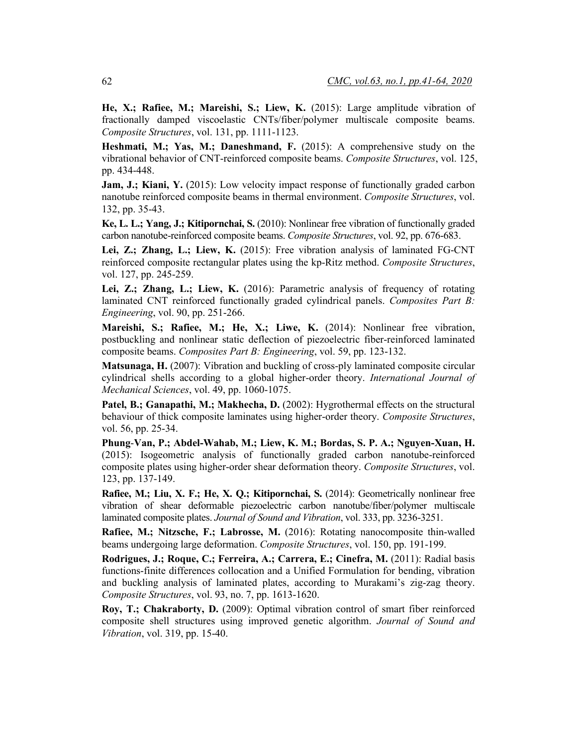**He, X.; Rafiee, M.; Mareishi, S.; Liew, K.** (2015): Large amplitude vibration of fractionally damped viscoelastic CNTs/fiber/polymer multiscale composite beams. *Composite Structures*, vol. 131, pp. 1111-1123.

**Heshmati, M.; Yas, M.; Daneshmand, F.** (2015): A comprehensive study on the vibrational behavior of CNT-reinforced composite beams. *Composite Structures*, vol. 125, pp. 434-448.

**Jam, J.; Kiani, Y.** (2015): Low velocity impact response of functionally graded carbon nanotube reinforced composite beams in thermal environment. *Composite Structures*, vol. 132, pp. 35-43.

**Ke, L. L.; Yang, J.; Kitipornchai, S.** (2010): Nonlinear free vibration of functionally graded carbon nanotube-reinforced composite beams. *Composite Structures*, vol. 92, pp. 676-683.

**Lei, Z.; Zhang, L.; Liew, K.** (2015): Free vibration analysis of laminated FG-CNT reinforced composite rectangular plates using the kp-Ritz method. *Composite Structures*, vol. 127, pp. 245-259.

**Lei, Z.; Zhang, L.; Liew, K.** (2016): Parametric analysis of frequency of rotating laminated CNT reinforced functionally graded cylindrical panels. *Composites Part B: Engineering*, vol. 90, pp. 251-266.

**Mareishi, S.; Rafiee, M.; He, X.; Liwe, K.** (2014): Nonlinear free vibration, postbuckling and nonlinear static deflection of piezoelectric fiber-reinforced laminated composite beams. *Composites Part B: Engineering*, vol. 59, pp. 123-132.

**Matsunaga, H.** (2007): Vibration and buckling of cross-ply laminated composite circular cylindrical shells according to a global higher-order theory. *International Journal of Mechanical Sciences*, vol. 49, pp. 1060-1075.

Patel, B.; Ganapathi, M.; Makhecha, D. (2002): Hygrothermal effects on the structural behaviour of thick composite laminates using higher-order theory. *Composite Structures*, vol. 56, pp. 25-34.

**Phung**-**Van, P.; Abdel-Wahab, M.; Liew, K. M.; Bordas, S. P. A.; Nguyen-Xuan, H.**  (2015): Isogeometric analysis of functionally graded carbon nanotube-reinforced composite plates using higher-order shear deformation theory. *Composite Structures*, vol. 123, pp. 137-149.

**Rafiee, M.; Liu, X. F.; He, X. Q.; Kitipornchai, S.** (2014): Geometrically nonlinear free vibration of shear deformable piezoelectric carbon nanotube/fiber/polymer multiscale laminated composite plates. *Journal of Sound and Vibration*, vol. 333, pp. 3236-3251.

**Rafiee, M.; Nitzsche, F.; Labrosse, M.** (2016): Rotating nanocomposite thin-walled beams undergoing large deformation. *Composite Structures*, vol. 150, pp. 191-199.

**Rodrigues, J.; Roque, C.; Ferreira, A.; Carrera, E.; Cinefra, M.** (2011): Radial basis functions-finite differences collocation and a Unified Formulation for bending, vibration and buckling analysis of laminated plates, according to Murakami's zig-zag theory. *Composite Structures*, vol. 93, no. 7, pp. 1613-1620.

**Roy, T.; Chakraborty, D.** (2009): Optimal vibration control of smart fiber reinforced composite shell structures using improved genetic algorithm. *Journal of Sound and Vibration*, vol. 319, pp. 15-40.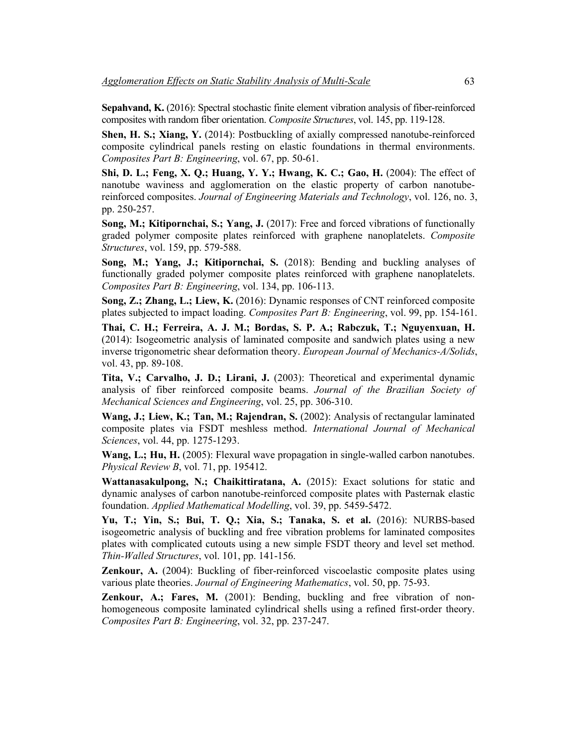**Sepahvand, K.** (2016): Spectral stochastic finite element vibration analysis of fiber-reinforced composites with random fiber orientation. *Composite Structures*, vol. 145, pp. 119-128.

**Shen, H. S.; Xiang, Y.** (2014): Postbuckling of axially compressed nanotube-reinforced composite cylindrical panels resting on elastic foundations in thermal environments. *Composites Part B: Engineering*, vol. 67, pp. 50-61.

**Shi, D. L.; Feng, X. Q.; Huang, Y. Y.; Hwang, K. C.; Gao, H.** (2004): The effect of nanotube waviness and agglomeration on the elastic property of carbon nanotubereinforced composites. *Journal of Engineering Materials and Technology*, vol. 126, no. 3, pp. 250-257.

**Song, M.; Kitipornchai, S.; Yang, J.** (2017): Free and forced vibrations of functionally graded polymer composite plates reinforced with graphene nanoplatelets. *Composite Structures*, vol. 159, pp. 579-588.

**Song, M.; Yang, J.; Kitipornchai, S.** (2018): Bending and buckling analyses of functionally graded polymer composite plates reinforced with graphene nanoplatelets. *Composites Part B: Engineering*, vol. 134, pp. 106-113.

**Song, Z.; Zhang, L.; Liew, K.** (2016): Dynamic responses of CNT reinforced composite plates subjected to impact loading. *Composites Part B: Engineering*, vol. 99, pp. 154-161.

**Thai, C. H.; Ferreira, A. J. M.; Bordas, S. P. A.; Rabczuk, T.; Nguyenxuan, H.** (2014): Isogeometric analysis of laminated composite and sandwich plates using a new inverse trigonometric shear deformation theory. *European Journal of Mechanics-A/Solids*, vol. 43, pp. 89-108.

**Tita, V.; Carvalho, J. D.; Lirani, J.** (2003): Theoretical and experimental dynamic analysis of fiber reinforced composite beams. *Journal of the Brazilian Society of Mechanical Sciences and Engineering*, vol. 25, pp. 306-310.

**Wang, J.; Liew, K.; Tan, M.; Rajendran, S.** (2002): Analysis of rectangular laminated composite plates via FSDT meshless method. *International Journal of Mechanical Sciences*, vol. 44, pp. 1275-1293.

**Wang, L.; Hu, H.** (2005): Flexural wave propagation in single-walled carbon nanotubes. *Physical Review B*, vol. 71, pp. 195412.

**Wattanasakulpong, N.; Chaikittiratana, A.** (2015): Exact solutions for static and dynamic analyses of carbon nanotube-reinforced composite plates with Pasternak elastic foundation. *Applied Mathematical Modelling*, vol. 39, pp. 5459-5472.

**Yu, T.; Yin, S.; Bui, T. Q.; Xia, S.; Tanaka, S. et al.** (2016): NURBS-based isogeometric analysis of buckling and free vibration problems for laminated composites plates with complicated cutouts using a new simple FSDT theory and level set method. *Thin-Walled Structures*, vol. 101, pp. 141-156.

**Zenkour, A.** (2004): Buckling of fiber-reinforced viscoelastic composite plates using various plate theories. *Journal of Engineering Mathematics*, vol. 50, pp. 75-93.

**Zenkour, A.; Fares, M.** (2001): Bending, buckling and free vibration of nonhomogeneous composite laminated cylindrical shells using a refined first-order theory. *Composites Part B: Engineering*, vol. 32, pp. 237-247.